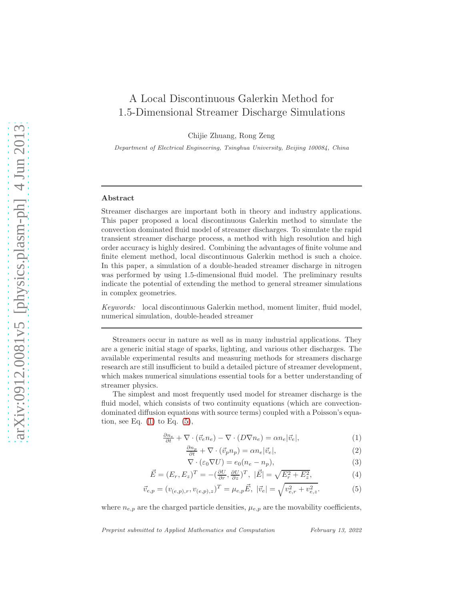# A Local Discontinuous Galerkin Method for 1.5-Dimensional Streamer Discharge Simulations

Chijie Zhuang, Rong Zeng

Department of Electrical Engineering, Tsinghua University, Beijing 100084, China

# Abstract

Streamer discharges are important both in theory and industry applications. This paper proposed a local discontinuous Galerkin method to simulate the convection dominated fluid model of streamer discharges. To simulate the rapid transient streamer discharge process, a method with high resolution and high order accuracy is highly desired. Combining the advantages of finite volume and finite element method, local discontinuous Galerkin method is such a choice. In this paper, a simulation of a double-headed streamer discharge in nitrogen was performed by using 1.5-dimensional fluid model. The preliminary results indicate the potential of extending the method to general streamer simulations in complex geometries.

Keywords: local discontinuous Galerkin method, moment limiter, fluid model, numerical simulation, double-headed streamer

Streamers occur in nature as well as in many industrial applications. They are a generic initial stage of sparks, lighting, and various other discharges. The available experimental results and measuring methods for streamers discharge research are still insufficient to build a detailed picture of streamer development, which makes numerical simulations essential tools for a better understanding of streamer physics.

The simplest and most frequently used model for streamer discharge is the fluid model, which consists of two continuity equations (which are convectiondominated diffusion equations with source terms) coupled with a Poisson's equation, see Eq.  $(1)$  to Eq.  $(5)$ ,

<span id="page-0-0"></span>
$$
\frac{\partial n_e}{\partial t} + \nabla \cdot (\vec{v}_e n_e) - \nabla \cdot (D \nabla n_e) = \alpha n_e |\vec{v}_e|,\tag{1}
$$

$$
\frac{\partial n_p}{\partial t} + \nabla \cdot (\vec{v}_p n_p) = \alpha n_e |\vec{v}_e|,\tag{2}
$$

$$
\nabla \cdot (\varepsilon_0 \nabla U) = e_0 (n_e - n_p), \tag{3}
$$

$$
\vec{E} = (E_r, E_z)^T = -(\frac{\partial U}{\partial r}, \frac{\partial U}{\partial z})^T, \ |\vec{E}| = \sqrt{E_r^2 + E_z^2},\tag{4}
$$

$$
\vec{v}_{e,p} = (v_{(e,p),r}, v_{(e,p),z})^T = \mu_{e,p} \vec{E}, \ |\vec{v}_e| = \sqrt{v_{e,r}^2 + v_{e,z}^2}.
$$
 (5)

where  $n_{e,p}$  are the charged particle densities,  $\mu_{e,p}$  are the movability coefficients,

Preprint submitted to Applied Mathematics and Computation February 13, 2022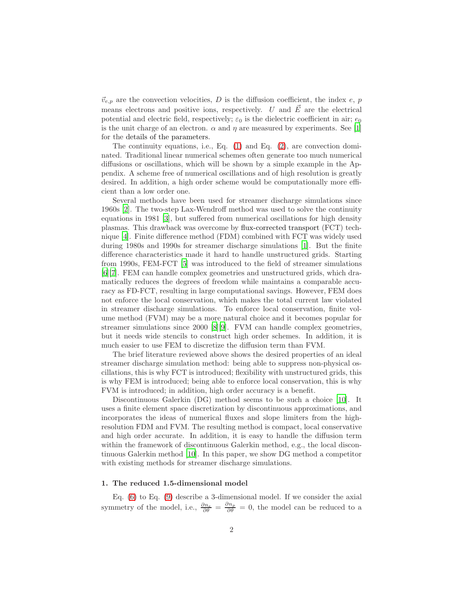$\vec{v}_{e,p}$  are the convection velocities, D is the diffusion coefficient, the index e, p means electrons and positive ions, respectively. U and  $\vec{E}$  are the electrical potential and electric field, respectively;  $\varepsilon_0$  is the dielectric coefficient in air;  $e_0$ is the unit charge of an electron.  $\alpha$  and  $\eta$  are measured by experiments. See [\[1\]](#page-11-0) for the details of the parameters.

The continuity equations, i.e., Eq. [\(1\)](#page-0-0) and Eq. [\(2\)](#page-0-0), are convection dominated. Traditional linear numerical schemes often generate too much numerical diffusions or oscillations, which will be shown by a simple example in the Appendix. A scheme free of numerical oscillations and of high resolution is greatly desired. In addition, a high order scheme would be computationally more efficient than a low order one.

Several methods have been used for streamer discharge simulations since 1960s [\[2\]](#page-11-1). The two-step Lax-Wendroff method was used to solve the continuity equations in 1981 [\[3\]](#page-11-2), but suffered from numerical oscillations for high density plasmas. This drawback was overcome by flux-corrected transport (FCT) technique [\[4\]](#page-11-3). Finite difference method (FDM) combined with FCT was widely used during 1980s and 1990s for streamer discharge simulations [\[1\]](#page-11-0). But the finite difference characteristics made it hard to handle unstructured grids. Starting from 1990s, FEM-FCT [\[5](#page-11-4)] was introduced to the field of streamer simulations [\[6\]](#page-11-5)[\[7](#page-11-6)]. FEM can handle complex geometries and unstructured grids, which dramatically reduces the degrees of freedom while maintains a comparable accuracy as FD-FCT, resulting in large computational savings. However, FEM does not enforce the local conservation, which makes the total current law violated in streamer discharge simulations. To enforce local conservation, finite volume method (FVM) may be a more natural choice and it becomes popular for streamer simulations since 2000 [\[8](#page-12-0)][9]. FVM can handle complex geometries, but it needs wide stencils to construct high order schemes. In addition, it is much easier to use FEM to discretize the diffusion term than FVM.

The brief literature reviewed above shows the desired properties of an ideal streamer discharge simulation method: being able to suppress non-physical oscillations, this is why FCT is introduced; flexibility with unstructured grids, this is why FEM is introduced; being able to enforce local conservation, this is why FVM is introduced; in addition, high order accuracy is a benefit.

Discontinuous Galerkin (DG) method seems to be such a choice [\[10](#page-12-1)]. It uses a finite element space discretization by discontinuous approximations, and incorporates the ideas of numerical fluxes and slope limiters from the highresolution FDM and FVM. The resulting method is compact, local conservative and high order accurate. In addition, it is easy to handle the diffusion term within the framework of discontinuous Galerkin method, e.g., the local discontinuous Galerkin method [\[10\]](#page-12-1). In this paper, we show DG method a competitor with existing methods for streamer discharge simulations.

# 1. The reduced 1.5-dimensional model

Eq.  $(6)$  to Eq.  $(9)$  describe a 3-dimensional model. If we consider the axial symmetry of the model, i.e.,  $\frac{\partial n_e}{\partial \theta} = \frac{\partial n_p}{\partial \theta} = 0$ , the model can be reduced to a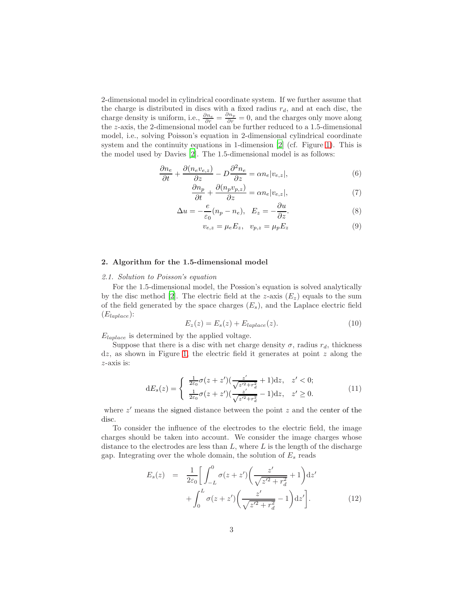2-dimensional model in cylindrical coordinate system. If we further assume that the charge is distributed in discs with a fixed radius  $r_d$ , and at each disc, the charge density is uniform, i.e.,  $\frac{\partial n_e}{\partial r} = \frac{\partial n_p}{\partial r} = 0$ , and the charges only move along the z-axis, the 2-dimensional model can be further reduced to a 1.5-dimensional model, i.e., solving Poisson's equation in 2-dimensional cylindrical coordinate system and the continuity equations in 1-dimension [\[2](#page-11-1)] (cf. Figure [1\)](#page-3-0). This is the model used by Davies [\[2\]](#page-11-1). The 1.5-dimensional model is as follows:

<span id="page-2-0"></span>
$$
\frac{\partial n_e}{\partial t} + \frac{\partial (n_e v_{e,z})}{\partial z} - D \frac{\partial^2 n_e}{\partial z} = \alpha n_e |v_{e,z}|,\tag{6}
$$

$$
\frac{\partial n_p}{\partial t} + \frac{\partial (n_p v_{p,z})}{\partial z} = \alpha n_e |v_{e,z}|,\tag{7}
$$

$$
\Delta u = -\frac{e}{\varepsilon_0}(n_p - n_e), \quad E_z = -\frac{\partial u}{\partial z}.
$$
\n(8)

$$
v_{e,z} = \mu_e E_z, \quad v_{p,z} = \mu_p E_z \tag{9}
$$

# 2. Algorithm for the 1.5-dimensional model

### 2.1. Solution to Poisson's equation

For the 1.5-dimensional model, the Possion's equation is solved analytically by the disc method [\[2\]](#page-11-1). The electric field at the z-axis  $(E_z)$  equals to the sum of the field generated by the space charges  $(E_s)$ , and the Laplace electric field  $(E_{laplace})$ :

$$
E_z(z) = E_s(z) + E_{laplace}(z). \tag{10}
$$

 $E_{laplace}$  is determined by the applied voltage.

Suppose that there is a disc with net charge density  $\sigma$ , radius  $r_d$ , thickness  $dz$ , as shown in Figure [1,](#page-3-0) the electric field it generates at point  $z$  along the z-axis is:

$$
dE_s(z) = \begin{cases} \frac{1}{2\varepsilon_0} \sigma(z+z') (\frac{z'}{\sqrt{z'^2+r_d^2}}+1) dz, & z' < 0; \\ \frac{1}{2\varepsilon_0} \sigma(z+z') (\frac{z'}{\sqrt{z'^2+r_d^2}}-1) dz, & z' \ge 0. \end{cases}
$$
(11)

where  $z'$  means the signed distance between the point  $z$  and the center of the disc.

To consider the influence of the electrodes to the electric field, the image charges should be taken into account. We consider the image charges whose distance to the electrodes are less than  $L$ , where  $L$  is the length of the discharge gap. Integrating over the whole domain, the solution of  $E_s$  reads

$$
E_s(z) = \frac{1}{2\varepsilon_0} \left[ \int_{-L}^0 \sigma(z + z') \left( \frac{z'}{\sqrt{z'^2 + r_d^2}} + 1 \right) dz' + \int_0^L \sigma(z + z') \left( \frac{z'}{\sqrt{z'^2 + r_d^2}} - 1 \right) dz' \right].
$$
 (12)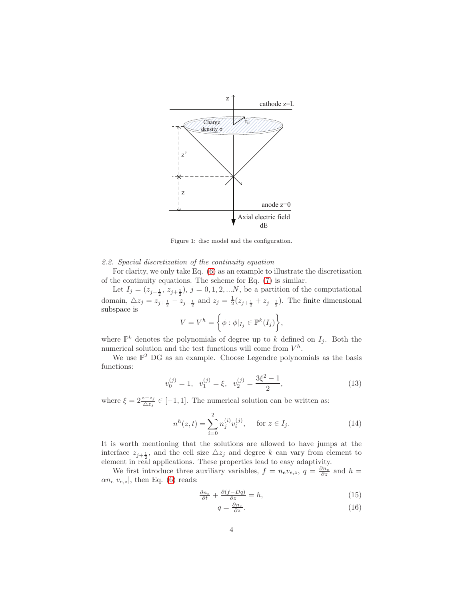

<span id="page-3-0"></span>Figure 1: disc model and the configuration.

2.2. Spacial discretization of the continuity equation

For clarity, we only take Eq. [\(6\)](#page-2-0) as an example to illustrate the discretization of the continuity equations. The scheme for Eq. [\(7\)](#page-2-0) is similar.

Let  $I_j = (z_{j-\frac{1}{2}}, z_{j+\frac{1}{2}}), j = 0, 1, 2, ...N$ , be a partition of the computational domain,  $\triangle z_j = z_{j+\frac{1}{2}} - z_{j-\frac{1}{2}}$  and  $z_j = \frac{1}{2}(z_{j+\frac{1}{2}} + z_{j-\frac{1}{2}})$ . The finite dimensional subspace is

$$
V = V^h = \left\{ \phi : \phi|_{I_j} \in \mathbb{P}^k(I_j) \right\},\
$$

where  $\mathbb{P}^k$  denotes the polynomials of degree up to k defined on  $I_j$ . Both the numerical solution and the test functions will come from  $V^h$ .

We use  $\mathbb{P}^2$  DG as an example. Choose Legendre polynomials as the basis functions:

$$
v_0^{(j)} = 1, v_1^{(j)} = \xi, v_2^{(j)} = \frac{3\xi^2 - 1}{2},
$$
\n(13)

where  $\xi = 2 \frac{z - z_j}{\Delta z_j} \in [-1, 1]$ . The numerical solution can be written as:

$$
n^{h}(z,t) = \sum_{i=0}^{2} n_{j}^{(i)} v_{i}^{(j)}, \quad \text{for } z \in I_{j}.
$$
 (14)

It is worth mentioning that the solutions are allowed to have jumps at the interface  $z_{j+\frac{1}{2}}$ , and the cell size  $\triangle z_j$  and degree k can vary from element to element in real applications. These properties lead to easy adaptivity.

We first introduce three auxiliary variables,  $f = n_e v_{e,z}$ ,  $q = \frac{\partial n_e}{\partial z}$  and  $h =$  $\alpha n_e|v_{e,z}|$ , then Eq. [\(6\)](#page-2-0) reads:

<span id="page-3-1"></span>
$$
\frac{\partial n_e}{\partial t} + \frac{\partial (f - Dq)}{\partial z} = h,\tag{15}
$$

$$
q = \frac{\partial n_e}{\partial z}.\tag{16}
$$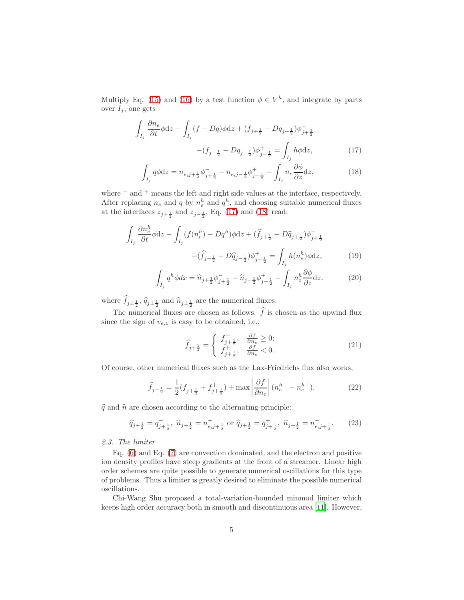Multiply Eq. [\(15\)](#page-3-1) and [\(16\)](#page-3-1) by a test function  $\phi \in V^h$ , and integrate by parts over  $I_i$ , one gets

<span id="page-4-0"></span>
$$
\int_{I_j} \frac{\partial n_e}{\partial t} \phi dz - \int_{I_j} (f - Dq) \phi dz + (f_{j + \frac{1}{2}} - Dq_{j + \frac{1}{2}}) \phi_{j + \frac{1}{2}}^{-}
$$

$$
- (f_{j - \frac{1}{2}} - Dq_{j - \frac{1}{2}}) \phi_{j - \frac{1}{2}}^{+} = \int_{I_j} h \phi dz, \qquad (17)
$$

$$
\int_{I_j} q \phi \mathrm{d} z = n_{e,j+\frac{1}{2}} \phi_{j+\frac{1}{2}}^- - n_{e,j-\frac{1}{2}} \phi_{j-\frac{1}{2}}^+ - \int_{I_j} n_e \frac{\partial \phi}{\partial z} \mathrm{d} z,\tag{18}
$$

where  $=$  and  $+$  means the left and right side values at the interface, respectively. After replacing  $n_e$  and q by  $n_e^h$  and  $q^h$ , and choosing suitable numerical fluxes at the interfaces  $z_{j+\frac{1}{2}}$  and  $z_{j-\frac{1}{2}}$ , Eq. [\(17\)](#page-4-0) and [\(18\)](#page-4-0) read:

$$
\int_{I_j} \frac{\partial n_e^h}{\partial t} \phi \, dz - \int_{I_j} (f(n_e^h) - Dq^h) \phi \, dz + (\hat{f}_{j + \frac{1}{2}} - D\hat{q}_{j + \frac{1}{2}}) \phi_{j + \frac{1}{2}} - (\hat{f}_{j - \frac{1}{2}} - D\hat{q}_{j - \frac{1}{2}}) \phi_{j - \frac{1}{2}}^+ = \int_{I_j} h(n_e^h) \phi \, dz,
$$
\n(19)

$$
\int_{I_j} q^h \phi dx = \hat{n}_{j + \frac{1}{2}} \phi_{j + \frac{1}{2}}^- - \hat{n}_{j - \frac{1}{2}} \phi_{j - \frac{1}{2}}^+ - \int_{I_j} n_e^h \frac{\partial \phi}{\partial z} dz.
$$
 (20)

where  $f_{j\pm \frac{1}{2}}$ ,  $\widehat{q}_{j\pm \frac{1}{2}}$  and  $\widehat{n}_{j\pm \frac{1}{2}}$  are the numerical fluxes.

The numerical fluxes are chosen as follows.  $\hat{f}$  is chosen as the upwind flux since the sign of  $v_{e,z}$  is easy to be obtained, i.e.,

$$
\hat{f}_{j+\frac{1}{2}} = \begin{cases} f_{j+\frac{1}{2}}^{-}, & \frac{\partial f}{\partial n_e} \ge 0; \\ f_{j+\frac{1}{2}}^{+}, & \frac{\partial f}{\partial n_e} < 0. \end{cases}
$$
\n(21)

Of course, other numerical fluxes such as the Lax-Friedrichs flux also works,

$$
\widehat{f}_{j+\frac{1}{2}} = \frac{1}{2} (f_{j+\frac{1}{2}}^- + f_{j+\frac{1}{2}}^+) + \max \left| \frac{\partial f}{\partial n_e} \right| (n_e^{h-} - n_e^{h+}). \tag{22}
$$

 $\hat{q}$  and  $\hat{n}$  are chosen according to the alternating principle:

$$
\widehat{q}_{j+\frac{1}{2}} = q_{j+\frac{1}{2}}^{-}, \ \widehat{n}_{j+\frac{1}{2}} = n_{e,j+\frac{1}{2}}^{+} \text{ or } \widehat{q}_{j+\frac{1}{2}} = q_{j+\frac{1}{2}}^{+}, \ \widehat{n}_{j+\frac{1}{2}} = n_{e,j+\frac{1}{2}}^{-}.\tag{23}
$$

# 2.3. The limiter

Eq. [\(6\)](#page-2-0) and Eq. [\(7\)](#page-2-0) are convection dominated, and the electron and positive ion density profiles have steep gradients at the front of a streamer. Linear high order schemes are quite possible to generate numerical oscillations for this type of problems. Thus a limiter is greatly desired to eliminate the possible numerical oscillations.

Chi-Wang Shu proposed a total-variation-bounded minmod limiter which keeps high order accuracy both in smooth and discontinuous area [\[11](#page-12-2)]. However,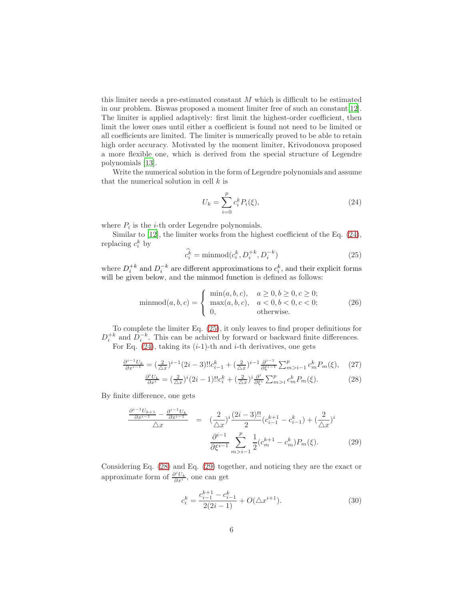this limiter needs a pre-estimated constant  $M$  which is difficult to be estimated in our problem. Biswas proposed a moment limiter free of such an constant[\[12\]](#page-12-3). The limiter is applied adaptively: first limit the highest-order coefficient, then limit the lower ones until either a coefficient is found not need to be limited or all coefficients are limited. The limiter is numerically proved to be able to retain high order accuracy. Motivated by the moment limiter, Krivodonova proposed a more flexible one, which is derived from the special structure of Legendre polynomials [\[13\]](#page-12-4).

Write the numerical solution in the form of Legendre polynomials and assume that the numerical solution in cell  $k$  is

<span id="page-5-0"></span>
$$
U_k = \sum_{i=0}^{p} c_i^k P_i(\xi),
$$
\n(24)

where  $P_i$  is the *i*-th order Legendre polynomials.

Similar to [\[12\]](#page-12-3), the limiter works from the highest coefficient of the Eq.  $(24)$ , replacing  $c_i^k$  by

<span id="page-5-1"></span>
$$
\widehat{c_i^k} = \text{minmod}(c_i^k, D_i^{+k}, D_i^{-k})
$$
\n
$$
(25)
$$

where  $D_i^{+k}$  and  $D_i^{-k}$  are different approximations to  $c_i^k$ , and their explicit forms will be given below, and the minmod function is defined as follows:

$$
\text{minmod}(a, b, c) = \begin{cases} \text{min}(a, b, c), & a \ge 0, b \ge 0, c \ge 0; \\ \text{max}(a, b, c), & a < 0, b < 0, c < 0; \\ 0, & \text{otherwise.} \end{cases} \tag{26}
$$

To complete the limiter Eq. [\(25\)](#page-5-1), it only leaves to find proper definitions for  $D_i^{+k}$  and  $D_i^{-k}$ . This can be achived by forward or backward finite differences. For Eq.  $(24)$ , taking its  $(i-1)$ -th and *i*-th derivatives, one gets

<span id="page-5-2"></span>
$$
\frac{\partial^{i-1}U_k}{\partial x^{i-1}} = \left(\frac{2}{\Delta x}\right)^{i-1} (2i-3)!! c_{i-1}^k + \left(\frac{2}{\Delta x}\right)^{i-1} \frac{\partial^{i-1}}{\partial \xi^{i-1}} \sum_{m>i-1}^p c_m^k P_m(\xi), \tag{27}
$$

$$
\frac{\partial^i U_k}{\partial x^i} = \left(\frac{2}{\Delta x}\right)^i \left(2i - 1\right)! c_i^k + \left(\frac{2}{\Delta x}\right)^i \frac{\partial^i}{\partial \xi^i} \sum_{m > i}^p c_m^k P_m(\xi). \tag{28}
$$

By finite difference, one gets

<span id="page-5-3"></span>
$$
\frac{\frac{\partial^{i-1}U_{k+1}}{\partial x^{i-1}} - \frac{\partial^{i-1}U_k}{\partial x^{i-1}}}{\triangle x} = \left(\frac{2}{\triangle x}\right)^i \frac{(2i-3)!!}{2} (c_{i-1}^{k+1} - c_{i-1}^k) + \left(\frac{2}{\triangle x}\right)^i
$$

$$
\frac{\partial^{i-1}}{\partial \xi^{i-1}} \sum_{m>i-1}^p \frac{1}{2} (c_m^{k+1} - c_m^k) P_m(\xi). \tag{29}
$$

Considering Eq. [\(28\)](#page-5-2) and Eq. [\(29\)](#page-5-3) together, and noticing they are the exact or approximate form of  $\frac{\partial^i U_k}{\partial x^i}$ , one can get

<span id="page-5-4"></span>
$$
c_i^k = \frac{c_{i-1}^{k+1} - c_{i-1}^k}{2(2i-1)} + O(\triangle x^{i+1}).
$$
\n(30)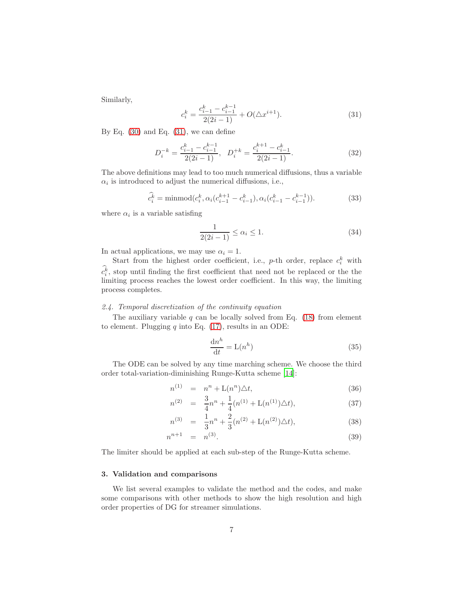Similarly,

<span id="page-6-0"></span>
$$
c_i^k = \frac{c_{i-1}^k - c_{i-1}^{k-1}}{2(2i-1)} + O(\triangle x^{i+1}).
$$
\n(31)

By Eq.  $(30)$  and Eq.  $(31)$ , we can define

$$
D_i^{-k} = \frac{c_{i-1}^k - c_{i-1}^{k-1}}{2(2i-1)}, \quad D_i^{+k} = \frac{c_i^{k+1} - c_{i-1}^k}{2(2i-1)}.
$$
\n
$$
(32)
$$

The above definitions may lead to too much numerical diffusions, thus a variable  $\alpha_i$  is introduced to adjust the numerical diffusions, i.e.,

$$
\widehat{c_i^k} = \text{minmod}(c_i^k, \alpha_i(c_{i-1}^{k+1} - c_{i-1}^k), \alpha_i(c_{i-1}^k - c_{i-1}^{k-1})).
$$
\n(33)

where  $\alpha_i$  is a variable satisfing

$$
\frac{1}{2(2i-1)} \le \alpha_i \le 1. \tag{34}
$$

In actual applications, we may use  $\alpha_i = 1$ .

Start from the highest order coefficient, i.e.,  $p$ -th order, replace  $c_i^k$  with  $c_i^k$ , stop until finding the first coefficient that need not be replaced or the the limiting process reaches the lowest order coefficient. In this way, the limiting process completes.

# 2.4. Temporal discretization of the continuity equation

The auxiliary variable q can be locally solved from Eq.  $(18)$  from element to element. Plugging  $q$  into Eq. [\(17\)](#page-4-0), results in an ODE:

$$
\frac{\mathrm{d}n^h}{\mathrm{d}t} = \mathcal{L}(n^h) \tag{35}
$$

The ODE can be solved by any time marching scheme. We choose the third order total-variation-diminishing Runge-Kutta scheme [\[14\]](#page-12-5):

$$
n^{(1)} = n^n + L(n^n)\Delta t,
$$
\n(36)

$$
n^{(2)} = \frac{3}{4}n^{n} + \frac{1}{4}(n^{(1)} + \mathcal{L}(n^{(1)})\triangle t), \tag{37}
$$

$$
n^{(3)} = \frac{1}{3}n^{n} + \frac{2}{3}(n^{(2)} + \mathcal{L}(n^{(2)})\triangle t),
$$
\n(38)

$$
n^{n+1} = n^{(3)}.
$$
\n(39)

The limiter should be applied at each sub-step of the Runge-Kutta scheme.

# 3. Validation and comparisons

We list several examples to validate the method and the codes, and make some comparisons with other methods to show the high resolution and high order properties of DG for streamer simulations.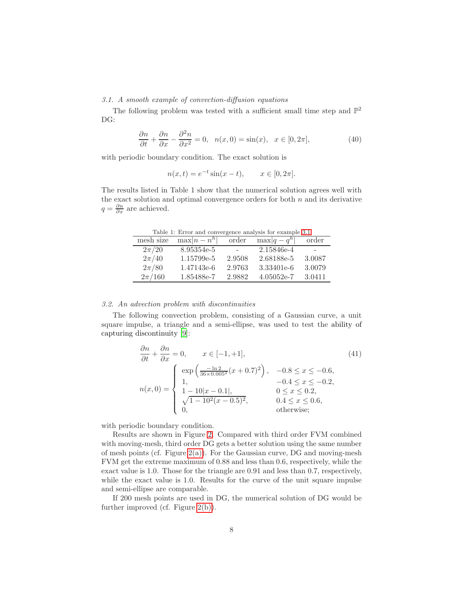<span id="page-7-0"></span>3.1. A smooth example of convection-diffusion equations

The following problem was tested with a sufficient small time step and  $\mathbb{P}^2$ DG:

$$
\frac{\partial n}{\partial t} + \frac{\partial n}{\partial x} - \frac{\partial^2 n}{\partial x^2} = 0, \quad n(x,0) = \sin(x), \quad x \in [0, 2\pi],
$$
\n(40)

with periodic boundary condition. The exact solution is

$$
n(x,t) = e^{-t} \sin(x - t), \qquad x \in [0, 2\pi].
$$

The results listed in Table 1 show that the numerical solution agrees well with the exact solution and optimal convergence orders for both  $n$  and its derivative  $q = \frac{\partial n}{\partial x}$  are achieved.

Table 1: Error and convergence analysis for example [3.1](#page-7-0)

| mesh size  | $\max  n - n^h $ | order  | $\max q-q^h $ | order  |
|------------|------------------|--------|---------------|--------|
| $2\pi/20$  | 8.95354e-5       |        | 2.15846e-4    |        |
| $2\pi/40$  | 1.15799e-5       | 2.9508 | 2.68188e-5    | 3.0087 |
| $2\pi/80$  | 1.47143e-6       | 2.9763 | 3.33401e-6    | 3.0079 |
| $2\pi/160$ | 1.85488e-7       | 2.9882 | $4.05052e-7$  | 3.0411 |

# <span id="page-7-1"></span>3.2. An advection problem with discontinuities

The following convection problem, consisting of a Gaussian curve, a unit square impulse, a triangle and a semi-ellipse, was used to test the ability of capturing discontinuity [9]:

$$
\frac{\partial n}{\partial t} + \frac{\partial n}{\partial x} = 0, \qquad x \in [-1, +1],
$$
\n
$$
n(x, 0) = \begin{cases}\n\exp\left(\frac{-\ln 2}{36 \times 0.005^2} (x + 0.7)^2\right), & -0.8 \le x \le -0.6, \\
1, & -0.4 \le x \le -0.2, \\
1 - 10|x - 0.1|, & 0 \le x \le 0.2, \\
\sqrt{1 - 10^2 (x - 0.5)^2}, & 0.4 \le x \le 0.6, \\
0, & \text{otherwise;}\n\end{cases}
$$
\n(41)

with periodic boundary condition.

Results are shown in Figure [2.](#page-8-0) Compared with third order FVM combined with moving-mesh, third order DG gets a better solution using the same number of mesh points (cf. Figure  $2(a)$ ). For the Gaussian curve, DG and moving-mesh FVM get the extreme maximum of 0.88 and less than 0.6, respectively, while the exact value is 1.0. Those for the triangle are 0.91 and less than 0.7, respectively, while the exact value is 1.0. Results for the curve of the unit square impulse and semi-ellipse are comparable.

If 200 mesh points are used in DG, the numerical solution of DG would be further improved (cf. Figure [2\(b\)\)](#page-8-2).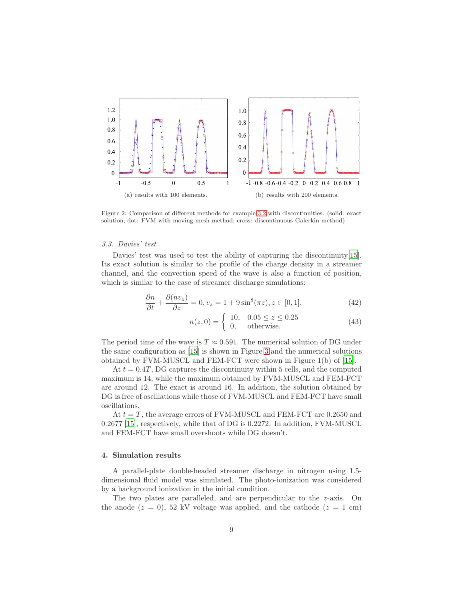<span id="page-8-1"></span>

<span id="page-8-2"></span><span id="page-8-0"></span>Figure 2: Comparison of different methods for example [3.2](#page-7-1) with discontinuities. (solid: exact solution; dot: FVM with moving mesh method; cross: discontinuous Galerkin method)

## <span id="page-8-3"></span>3.3. Davies' test

Davies' test was used to test the ability of capturing the discontinuity[\[15\]](#page-12-6). Its exact solution is similar to the profile of the charge density in a streamer channel, and the convection speed of the wave is also a function of position, which is similar to the case of streamer discharge simulations:

$$
\frac{\partial n}{\partial t} + \frac{\partial (nv_z)}{\partial z} = 0, v_z = 1 + 9\sin^8(\pi z), z \in [0, 1],
$$
\n(42)

$$
n(z,0) = \begin{cases} 10, & 0.05 \le z \le 0.25 \\ 0, & \text{otherwise.} \end{cases}
$$
 (43)

The period time of the wave is  $T \approx 0.591$ . The numerical solution of DG under the same configuration as [\[15\]](#page-12-6) is shown in Figure [3](#page-9-0) and the numerical solutions obtained by FVM-MUSCL and FEM-FCT were shown in Figure 1(b) of [\[15\]](#page-12-6).

At  $t = 0.4T$ , DG captures the discontinuity within 5 cells, and the computed maximum is 14, while the maximum obtained by FVM-MUSCL and FEM-FCT are around 12. The exact is around 16. In addition, the solution obtained by DG is free of oscillations while those of FVM-MUSCL and FEM-FCT have small oscillations.

At  $t = T$ , the average errors of FVM-MUSCL and FEM-FCT are 0.2650 and 0.2677 [\[15](#page-12-6)], respectively, while that of DG is 0.2272. In addition, FVM-MUSCL and FEM-FCT have small overshoots while DG doesn't.

#### 4. Simulation results

A parallel-plate double-headed streamer discharge in nitrogen using 1.5 dimensional fluid model was simulated. The photo-ionization was considered by a background ionization in the initial condition.

The two plates are paralleled, and are perpendicular to the  $z$ -axis. On the anode  $(z = 0)$ , 52 kV voltage was applied, and the cathode  $(z = 1 \text{ cm})$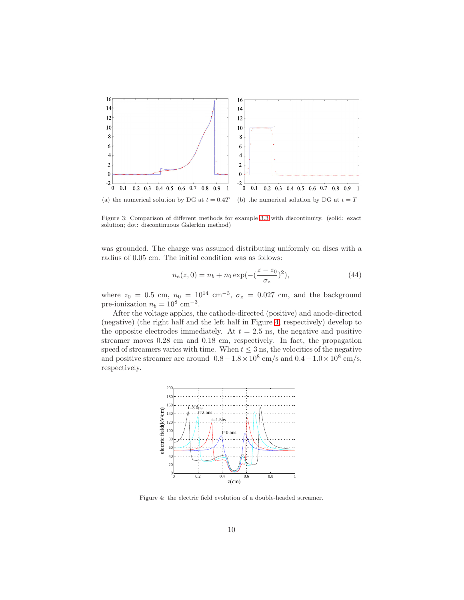

<span id="page-9-0"></span>Figure 3: Comparison of different methods for example [3.3](#page-8-3) with discontinuity. (solid: exact solution; dot: discontinuous Galerkin method)

was grounded. The charge was assumed distributing uniformly on discs with a radius of 0.05 cm. The initial condition was as follows:

$$
n_e(z,0) = n_b + n_0 \exp(-(\frac{z - z_0}{\sigma_z})^2), \tag{44}
$$

where  $z_0 = 0.5$  cm,  $n_0 = 10^{14}$  cm<sup>-3</sup>,  $\sigma_z = 0.027$  cm, and the background pre-ionization  $n_b = 10^8$  cm<sup>-3</sup>.

After the voltage applies, the cathode-directed (positive) and anode-directed (negative) (the right half and the left half in Figure [4,](#page-9-1) respectively) develop to the opposite electrodes immediately. At  $t = 2.5$  ns, the negative and positive streamer moves 0.28 cm and 0.18 cm, respectively. In fact, the propagation speed of streamers varies with time. When  $t \leq 3$  ns, the velocities of the negative and positive streamer are around  $0.8-1.8\times10^8$  cm/s and  $0.4-1.0\times10^8$  cm/s, respectively.



<span id="page-9-1"></span>Figure 4: the electric field evolution of a double-headed streamer.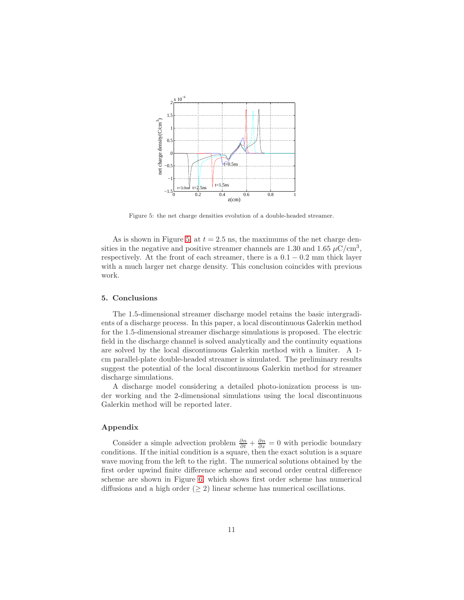

<span id="page-10-0"></span>Figure 5: the net charge densities evolution of a double-headed streamer.

As is shown in Figure [5,](#page-10-0) at  $t = 2.5$  ns, the maximums of the net charge densities in the negative and positive streamer channels are 1.30 and 1.65  $\mu$ C/cm<sup>3</sup>, respectively. At the front of each streamer, there is a  $0.1 - 0.2$  mm thick layer with a much larger net charge density. This conclusion coincides with previous work.

## 5. Conclusions

The 1.5-dimensional streamer discharge model retains the basic intergradients of a discharge process. In this paper, a local discontinuous Galerkin method for the 1.5-dimensional streamer discharge simulations is proposed. The electric field in the discharge channel is solved analytically and the continuity equations are solved by the local discontinuous Galerkin method with a limiter. A 1 cm parallel-plate double-headed streamer is simulated. The preliminary results suggest the potential of the local discontinuous Galerkin method for streamer discharge simulations.

A discharge model considering a detailed photo-ionization process is under working and the 2-dimensional simulations using the local discontinuous Galerkin method will be reported later.

# Appendix

Consider a simple advection problem  $\frac{\partial n}{\partial t} + \frac{\partial n}{\partial x} = 0$  with periodic boundary conditions. If the initial condition is a square, then the exact solution is a square wave moving from the left to the right. The numerical solutions obtained by the first order upwind finite difference scheme and second order central difference scheme are shown in Figure [6,](#page-11-7) which shows first order scheme has numerical diffusions and a high order ( $\geq$  2) linear scheme has numerical oscillations.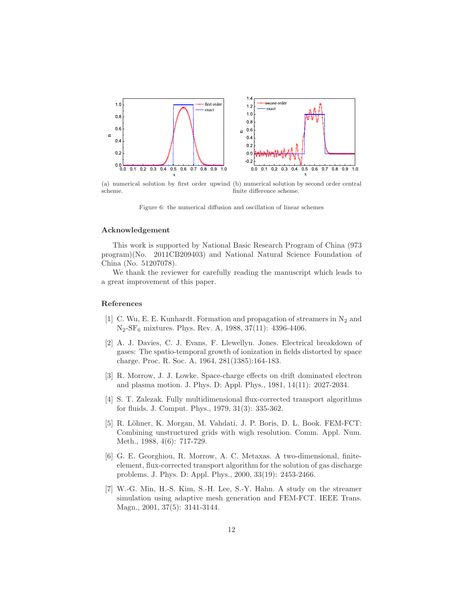

(a) numerical solution by first order upwind (b) numerical solution by second order central scheme. finite difference scheme.

<span id="page-11-7"></span>Figure 6: the numerical diffusion and oscillation of linear schemes

## Acknowledgement

This work is supported by National Basic Research Program of China (973 program)(No. 2011CB209403) and National Natural Science Foundation of China (No. 51207078).

We thank the reviewer for carefully reading the manuscript which leads to a great improvement of this paper.

## References

- <span id="page-11-0"></span>[1] C. Wu, E. E. Kunhardt. Formation and propagation of streamers in  $N_2$  and N2-SF<sup>6</sup> mixtures. Phys. Rev. A, 1988, 37(11): 4396-4406.
- <span id="page-11-1"></span>[2] A. J. Davies, C. J. Evans, F. Llewellyn. Jones. Electrical breakdown of gases: The spatio-temporal growth of ionization in fields distorted by space charge. Proc. R. Soc. A, 1964, 281(1385):164-183.
- <span id="page-11-2"></span>[3] R. Morrow, J. J. Lowke. Space-charge effects on drift dominated electron and plasma motion. J. Phys. D: Appl. Phys., 1981, 14(11): 2027-2034.
- <span id="page-11-3"></span>[4] S. T. Zalezak. Fully multidimensional flux-corrected transport algorithms for fluids. J. Comput. Phys., 1979, 31(3): 335-362.
- <span id="page-11-4"></span>[5] R. L¨ohner, K. Morgan, M. Vahdati, J. P. Boris, D. L. Book. FEM-FCT: Combining unstructured grids with wigh resolution. Comm. Appl. Num. Meth., 1988, 4(6): 717-729.
- <span id="page-11-5"></span>[6] G. E. Georghiou, R. Morrow, A. C. Metaxas. A two-dimensional, finiteelement, flux-corrected transport algorithm for the solution of gas discharge problems. J. Phys. D: Appl. Phys., 2000, 33(19): 2453-2466.
- <span id="page-11-6"></span>[7] W.-G. Min, H.-S. Kim, S.-H. Lee, S.-Y. Hahn. A study on the streamer simulation using adaptive mesh generation and FEM-FCT. IEEE Trans. Magn., 2001, 37(5): 3141-3144.